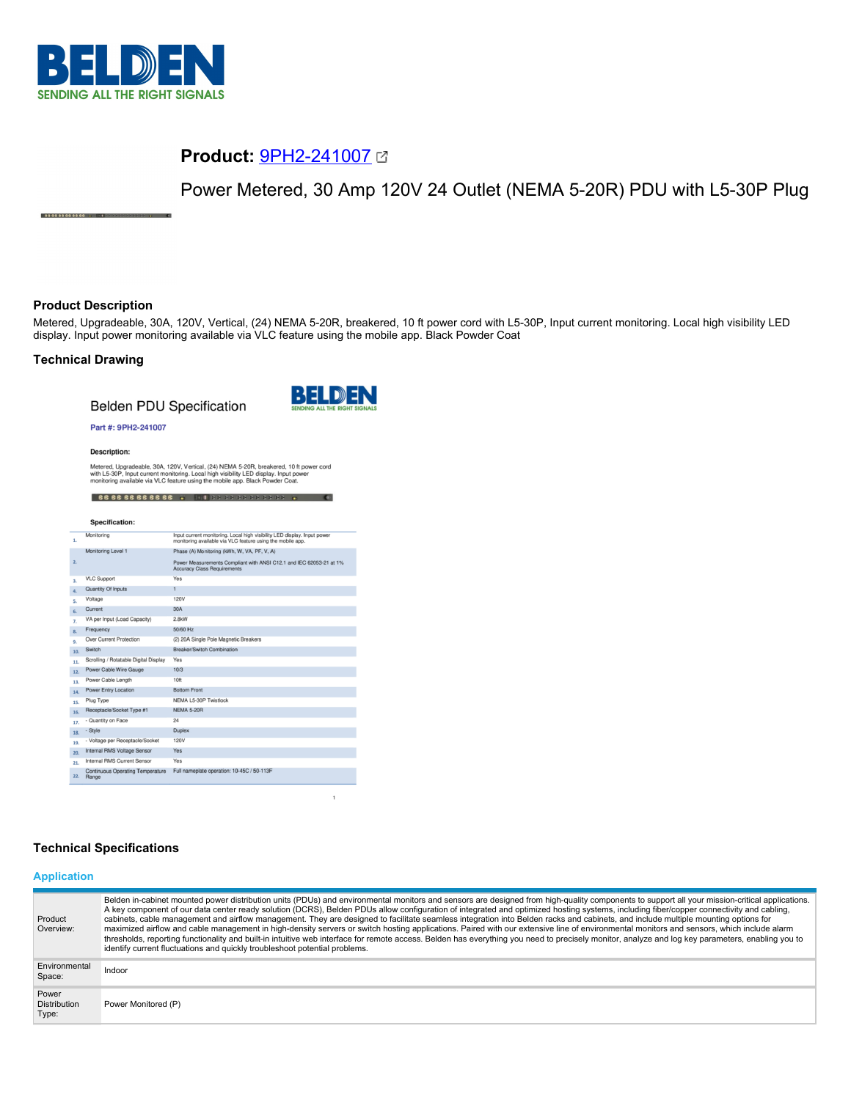

# **Product:** [9PH2-241007](https://catalog.belden.com/index.cfm?event=pd&p=PF_9PH2241007&tab=downloads)

Power Metered, 30 Amp 120V 24 Outlet (NEMA 5-20R) PDU with L5-30P Plug

# **Product Description**

88888888888

Metered, Upgradeable, 30A, 120V, Vertical, (24) NEMA 5-20R, breakered, 10 ft power cord with L5-30P, Input current monitoring. Local high visibility LED display. Input power monitoring available via VLC feature using the mobile app. Black Powder Coat

# **Technical Drawing**

**Belden PDU Specification** 



 $\mathbf{1}$ 

### Part #: 9PH2-241007

**Description:** 

Metered, Upgradeable, 30A, 120V, Vertical, (24) NEMA 5-20R, breakered, 10 ft power cord<br>with L5-30P, Input current monitoring. Local high visibility LED display. Input power<br>monitoring available via VLC feature using the m 888888888888 WILDS 33 38 88 88 89

#### Specification:

| 1.  | Monitoring                                | Input current monitoring. Local high visibility LED display. Input power<br>monitoring available via VLC feature using the mobile app. |
|-----|-------------------------------------------|----------------------------------------------------------------------------------------------------------------------------------------|
|     | Monitoring Level 1                        | Phase (A) Monitoring (kWh, W, VA, PF, V, A)                                                                                            |
| 2.  |                                           | Power Measurements Compliant with ANSI C12.1 and IEC 62053-21 at 1%<br><b>Accuracy Class Requirements</b>                              |
| 3.  | <b>VLC Support</b>                        | Yes                                                                                                                                    |
| 4.  | Quantity Of Inputs                        | 1                                                                                                                                      |
| 5.  | Voltage                                   | <b>120V</b>                                                                                                                            |
| 6.  | Current                                   | 30A                                                                                                                                    |
| 7.  | VA per Input (Load Capacity)              | 2.8kW                                                                                                                                  |
| 8.  | Frequency                                 | 50/60 Hz                                                                                                                               |
| 9.  | Over Current Protection                   | (2) 20A Single Pole Magnetic Breakers                                                                                                  |
| 10. | Switch                                    | Breaker/Switch Combination                                                                                                             |
| 11. | Scrolling / Rotatable Digital Display     | Yes                                                                                                                                    |
| 12. | Power Cable Wire Gauge                    | 10/3                                                                                                                                   |
| 13. | Power Cable Length                        | 10ft                                                                                                                                   |
| 14. | Power Entry Location                      | <b>Bottom Front</b>                                                                                                                    |
| 15. | Plug Type                                 | NEMA L5-30P Twistlock                                                                                                                  |
| 16. | Receptacle/Socket Type #1                 | <b>NEMA 5-20R</b>                                                                                                                      |
| 17. | - Quantity on Face                        | 24                                                                                                                                     |
| 18. | - Style                                   | <b>Duplex</b>                                                                                                                          |
| 19. | - Voltage per Receptacle/Socket           | 120V                                                                                                                                   |
| 20. | Internal RMS Voltage Sensor               | Yes                                                                                                                                    |
| 21. | Internal RMS Current Sensor               | Yes                                                                                                                                    |
| 22. | Continuous Operating Temperature<br>Range | Full nameplate operation: 10-45C / 50-113F                                                                                             |

# **Technical Specifications**

#### **Application**

| Product<br>Overview:                  | Belden in-cabinet mounted power distribution units (PDUs) and environmental monitors and sensors are designed from high-quality components to support all your mission-critical applications.<br>A key component of our data center ready solution (DCRS), Belden PDUs allow configuration of integrated and optimized hosting systems, including fiber/copper connectivity and cabling,<br>cabinets, cable management and airflow management. They are designed to facilitate seamless integration into Belden racks and cabinets, and include multiple mounting options for<br>maximized airflow and cable management in high-density servers or switch hosting applications. Paired with our extensive line of environmental monitors and sensors, which include alarm<br>thresholds, reporting functionality and built-in intuitive web interface for remote access. Belden has everything you need to precisely monitor, analyze and log key parameters, enabling you to<br>identify current fluctuations and quickly troubleshoot potential problems. |
|---------------------------------------|-------------------------------------------------------------------------------------------------------------------------------------------------------------------------------------------------------------------------------------------------------------------------------------------------------------------------------------------------------------------------------------------------------------------------------------------------------------------------------------------------------------------------------------------------------------------------------------------------------------------------------------------------------------------------------------------------------------------------------------------------------------------------------------------------------------------------------------------------------------------------------------------------------------------------------------------------------------------------------------------------------------------------------------------------------------|
| Environmental<br>Space:               | Indoor                                                                                                                                                                                                                                                                                                                                                                                                                                                                                                                                                                                                                                                                                                                                                                                                                                                                                                                                                                                                                                                      |
| Power<br><b>Distribution</b><br>Type: | Power Monitored (P)                                                                                                                                                                                                                                                                                                                                                                                                                                                                                                                                                                                                                                                                                                                                                                                                                                                                                                                                                                                                                                         |